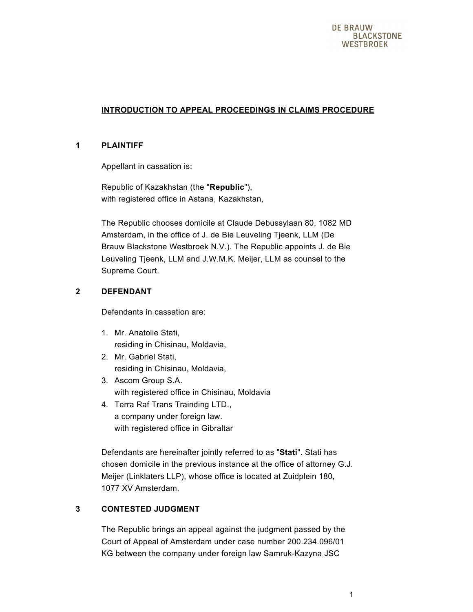# **INTRODUCTION TO APPEAL PROCEEDINGS IN CLAIMS PROCEDURE**

## **1 PLAINTIFF**

Appellant in cassation is:

Republic of Kazakhstan (the "**Republic**"), with registered office in Astana, Kazakhstan,

The Republic chooses domicile at Claude Debussylaan 80, 1082 MD Amsterdam, in the office of J. de Bie Leuveling Tjeenk, LLM (De Brauw Blackstone Westbroek N.V.). The Republic appoints J. de Bie Leuveling Tjeenk, LLM and J.W.M.K. Meijer, LLM as counsel to the Supreme Court.

## **2 DEFENDANT**

Defendants in cassation are:

- 1. Mr. Anatolie Stati, residing in Chisinau, Moldavia,
- 2. Mr. Gabriel Stati, residing in Chisinau, Moldavia,
- 3. Ascom Group S.A. with registered office in Chisinau, Moldavia
- 4. Terra Raf Trans Trainding LTD., a company under foreign law. with registered office in Gibraltar

Defendants are hereinafter jointly referred to as "**Stati**". Stati has chosen domicile in the previous instance at the office of attorney G.J. Meijer (Linklaters LLP), whose office is located at Zuidplein 180, 1077 XV Amsterdam.

# **3 CONTESTED JUDGMENT**

The Republic brings an appeal against the judgment passed by the Court of Appeal of Amsterdam under case number 200.234.096/01 KG between the company under foreign law Samruk-Kazyna JSC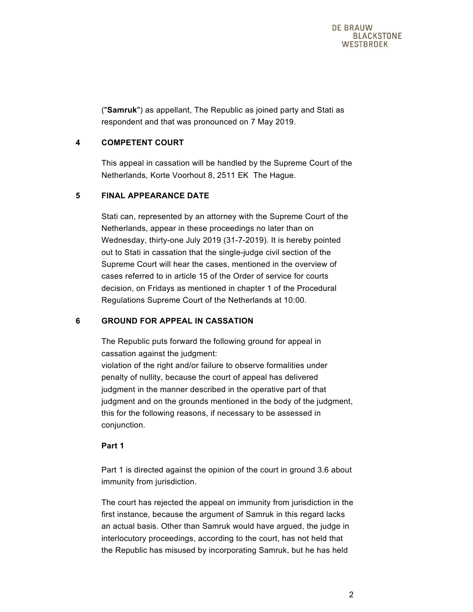("**Samruk**") as appellant, The Republic as joined party and Stati as respondent and that was pronounced on 7 May 2019.

# **4 COMPETENT COURT**

This appeal in cassation will be handled by the Supreme Court of the Netherlands, Korte Voorhout 8, 2511 EK The Hague.

# **5 FINAL APPEARANCE DATE**

Stati can, represented by an attorney with the Supreme Court of the Netherlands, appear in these proceedings no later than on Wednesday, thirty-one July 2019 (31-7-2019). It is hereby pointed out to Stati in cassation that the single-judge civil section of the Supreme Court will hear the cases, mentioned in the overview of cases referred to in article 15 of the Order of service for courts decision, on Fridays as mentioned in chapter 1 of the Procedural Regulations Supreme Court of the Netherlands at 10:00.

# **6 GROUND FOR APPEAL IN CASSATION**

The Republic puts forward the following ground for appeal in cassation against the judgment: violation of the right and/or failure to observe formalities under penalty of nullity, because the court of appeal has delivered judgment in the manner described in the operative part of that judgment and on the grounds mentioned in the body of the judgment, this for the following reasons, if necessary to be assessed in conjunction.

## **Part 1**

Part 1 is directed against the opinion of the court in ground 3.6 about immunity from jurisdiction.

The court has rejected the appeal on immunity from jurisdiction in the first instance, because the argument of Samruk in this regard lacks an actual basis. Other than Samruk would have argued, the judge in interlocutory proceedings, according to the court, has not held that the Republic has misused by incorporating Samruk, but he has held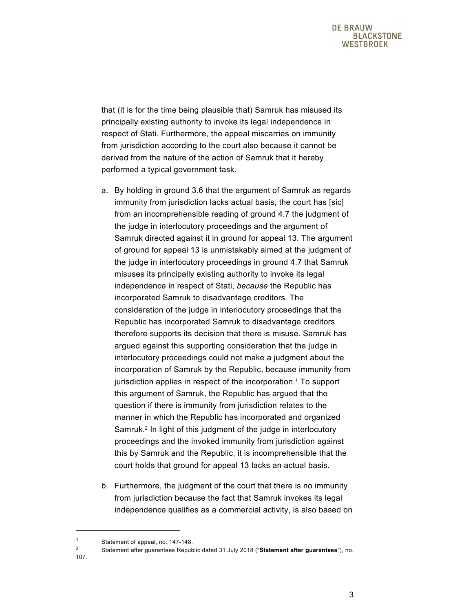that (it is for the time being plausible that) Samruk has misused its principally existing authority to invoke its legal independence in respect of Stati. Furthermore, the appeal miscarries on immunity from jurisdiction according to the court also because it cannot be derived from the nature of the action of Samruk that it hereby performed a typical government task.

- a. By holding in ground 3.6 that the argument of Samruk as regards immunity from jurisdiction lacks actual basis, the court has [sic] from an incomprehensible reading of ground 4.7 the judgment of the judge in interlocutory proceedings and the argument of Samruk directed against it in ground for appeal 13. The argument of ground for appeal 13 is unmistakably aimed at the judgment of the judge in interlocutory proceedings in ground 4.7 that Samruk misuses its principally existing authority to invoke its legal independence in respect of Stati, *because* the Republic has incorporated Samruk to disadvantage creditors. The consideration of the judge in interlocutory proceedings that the Republic has incorporated Samruk to disadvantage creditors therefore supports its decision that there is misuse. Samruk has argued against this supporting consideration that the judge in interlocutory proceedings could not make a judgment about the incorporation of Samruk by the Republic, because immunity from jurisdiction applies in respect of the incorporation.<sup>1</sup> To support this argument of Samruk, the Republic has argued that the question if there is immunity from jurisdiction relates to the manner in which the Republic has incorporated and organized Samruk.<sup>2</sup> In light of this judgment of the judge in interlocutory proceedings and the invoked immunity from jurisdiction against this by Samruk and the Republic, it is incomprehensible that the court holds that ground for appeal 13 lacks an actual basis.
- b. Furthermore, the judgment of the court that there is no immunity from jurisdiction because the fact that Samruk invokes its legal independence qualifies as a commercial activity, is also based on

107.

<sup>1</sup> Statement of appeal, no. 147-148.

<sup>2</sup> Statement after guarantees Republic dated 31 July 2018 ("**Statement after guarantees**"), no.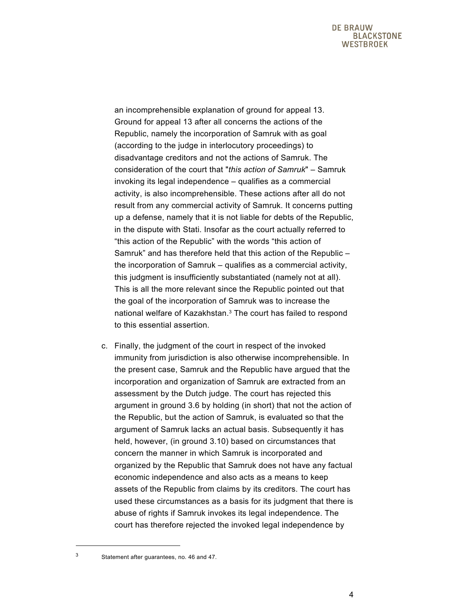an incomprehensible explanation of ground for appeal 13. Ground for appeal 13 after all concerns the actions of the Republic, namely the incorporation of Samruk with as goal (according to the judge in interlocutory proceedings) to disadvantage creditors and not the actions of Samruk. The consideration of the court that "*this action of Samruk*" – Samruk invoking its legal independence – qualifies as a commercial activity, is also incomprehensible. These actions after all do not result from any commercial activity of Samruk. It concerns putting up a defense, namely that it is not liable for debts of the Republic, in the dispute with Stati. Insofar as the court actually referred to "this action of the Republic" with the words "this action of Samruk" and has therefore held that this action of the Republic – the incorporation of Samruk – qualifies as a commercial activity, this judgment is insufficiently substantiated (namely not at all). This is all the more relevant since the Republic pointed out that the goal of the incorporation of Samruk was to increase the national welfare of Kazakhstan.3 The court has failed to respond to this essential assertion.

c. Finally, the judgment of the court in respect of the invoked immunity from jurisdiction is also otherwise incomprehensible. In the present case, Samruk and the Republic have argued that the incorporation and organization of Samruk are extracted from an assessment by the Dutch judge. The court has rejected this argument in ground 3.6 by holding (in short) that not the action of the Republic, but the action of Samruk, is evaluated so that the argument of Samruk lacks an actual basis. Subsequently it has held, however, (in ground 3.10) based on circumstances that concern the manner in which Samruk is incorporated and organized by the Republic that Samruk does not have any factual economic independence and also acts as a means to keep assets of the Republic from claims by its creditors. The court has used these circumstances as a basis for its judgment that there is abuse of rights if Samruk invokes its legal independence. The court has therefore rejected the invoked legal independence by

<sup>3</sup> Statement after guarantees, no. 46 and 47.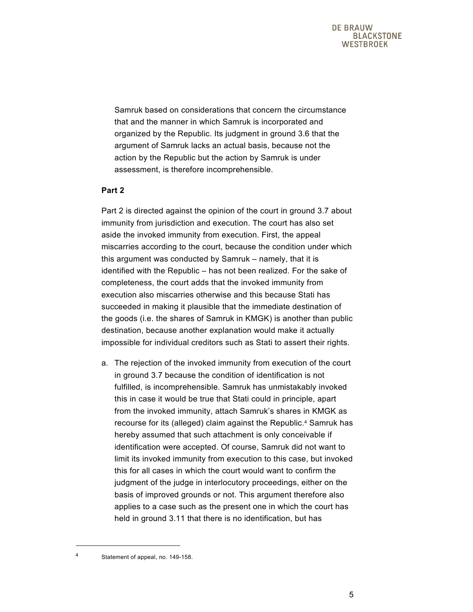Samruk based on considerations that concern the circumstance that and the manner in which Samruk is incorporated and organized by the Republic. Its judgment in ground 3.6 that the argument of Samruk lacks an actual basis, because not the action by the Republic but the action by Samruk is under assessment, is therefore incomprehensible.

## **Part 2**

Part 2 is directed against the opinion of the court in ground 3.7 about immunity from jurisdiction and execution. The court has also set aside the invoked immunity from execution. First, the appeal miscarries according to the court, because the condition under which this argument was conducted by Samruk – namely, that it is identified with the Republic – has not been realized. For the sake of completeness, the court adds that the invoked immunity from execution also miscarries otherwise and this because Stati has succeeded in making it plausible that the immediate destination of the goods (i.e. the shares of Samruk in KMGK) is another than public destination, because another explanation would make it actually impossible for individual creditors such as Stati to assert their rights.

a. The rejection of the invoked immunity from execution of the court in ground 3.7 because the condition of identification is not fulfilled, is incomprehensible. Samruk has unmistakably invoked this in case it would be true that Stati could in principle, apart from the invoked immunity, attach Samruk's shares in KMGK as recourse for its (alleged) claim against the Republic.4 Samruk has hereby assumed that such attachment is only conceivable if identification were accepted. Of course, Samruk did not want to limit its invoked immunity from execution to this case, but invoked this for all cases in which the court would want to confirm the judgment of the judge in interlocutory proceedings, either on the basis of improved grounds or not. This argument therefore also applies to a case such as the present one in which the court has held in ground 3.11 that there is no identification, but has

Statement of appeal, no. 149-158.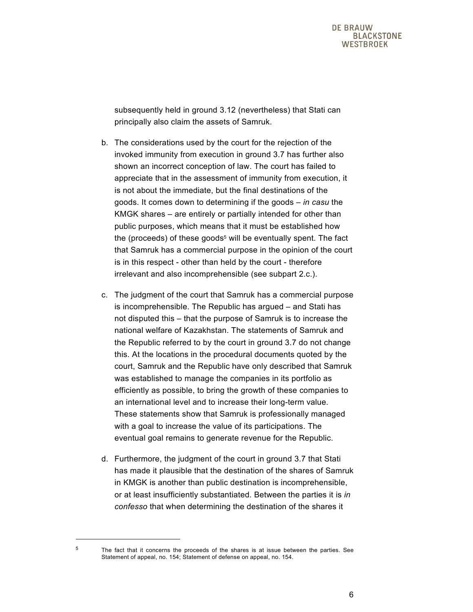subsequently held in ground 3.12 (nevertheless) that Stati can principally also claim the assets of Samruk.

- b. The considerations used by the court for the rejection of the invoked immunity from execution in ground 3.7 has further also shown an incorrect conception of law. The court has failed to appreciate that in the assessment of immunity from execution, it is not about the immediate, but the final destinations of the goods. It comes down to determining if the goods – *in casu* the KMGK shares – are entirely or partially intended for other than public purposes, which means that it must be established how the (proceeds) of these goods<sup>5</sup> will be eventually spent. The fact that Samruk has a commercial purpose in the opinion of the court is in this respect - other than held by the court - therefore irrelevant and also incomprehensible (see subpart 2.c.).
- c. The judgment of the court that Samruk has a commercial purpose is incomprehensible. The Republic has argued – and Stati has not disputed this – that the purpose of Samruk is to increase the national welfare of Kazakhstan. The statements of Samruk and the Republic referred to by the court in ground 3.7 do not change this. At the locations in the procedural documents quoted by the court, Samruk and the Republic have only described that Samruk was established to manage the companies in its portfolio as efficiently as possible, to bring the growth of these companies to an international level and to increase their long-term value. These statements show that Samruk is professionally managed with a goal to increase the value of its participations. The eventual goal remains to generate revenue for the Republic.
- d. Furthermore, the judgment of the court in ground 3.7 that Stati has made it plausible that the destination of the shares of Samruk in KMGK is another than public destination is incomprehensible, or at least insufficiently substantiated. Between the parties it is *in confesso* that when determining the destination of the shares it

<sup>5</sup> The fact that it concerns the proceeds of the shares is at issue between the parties. See Statement of appeal, no. 154; Statement of defense on appeal, no. 154.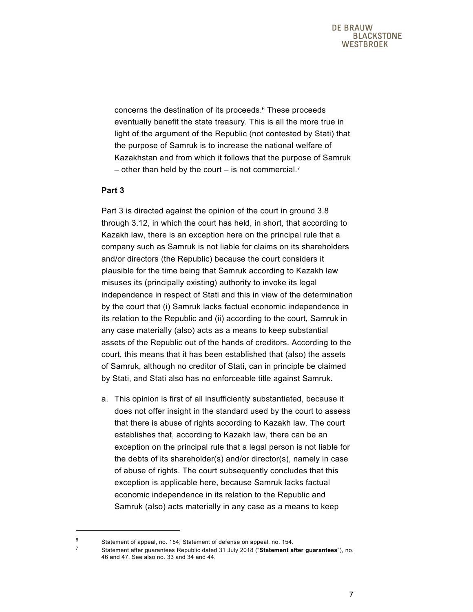concerns the destination of its proceeds.6 These proceeds eventually benefit the state treasury. This is all the more true in light of the argument of the Republic (not contested by Stati) that the purpose of Samruk is to increase the national welfare of Kazakhstan and from which it follows that the purpose of Samruk – other than held by the court – is not commercial.<sup>7</sup>

### **Part 3**

 $\overline{a}$ 

Part 3 is directed against the opinion of the court in ground 3.8 through 3.12, in which the court has held, in short, that according to Kazakh law, there is an exception here on the principal rule that a company such as Samruk is not liable for claims on its shareholders and/or directors (the Republic) because the court considers it plausible for the time being that Samruk according to Kazakh law misuses its (principally existing) authority to invoke its legal independence in respect of Stati and this in view of the determination by the court that (i) Samruk lacks factual economic independence in its relation to the Republic and (ii) according to the court, Samruk in any case materially (also) acts as a means to keep substantial assets of the Republic out of the hands of creditors. According to the court, this means that it has been established that (also) the assets of Samruk, although no creditor of Stati, can in principle be claimed by Stati, and Stati also has no enforceable title against Samruk.

a. This opinion is first of all insufficiently substantiated, because it does not offer insight in the standard used by the court to assess that there is abuse of rights according to Kazakh law. The court establishes that, according to Kazakh law, there can be an exception on the principal rule that a legal person is not liable for the debts of its shareholder(s) and/or director(s), namely in case of abuse of rights. The court subsequently concludes that this exception is applicable here, because Samruk lacks factual economic independence in its relation to the Republic and Samruk (also) acts materially in any case as a means to keep

<sup>6</sup> Statement of appeal, no. 154; Statement of defense on appeal, no. 154.<br> $\frac{7}{4}$  Statement of the guarantees Benublic dated 31 July 2018 ("Statement of

<sup>7</sup> Statement after guarantees Republic dated 31 July 2018 ("**Statement after guarantees**"), no. 46 and 47. See also no. 33 and 34 and 44.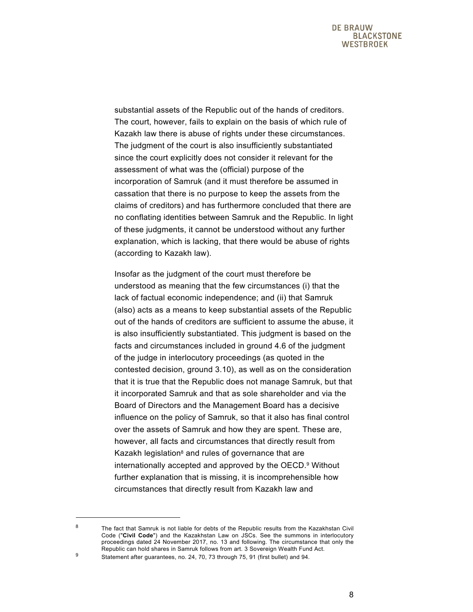substantial assets of the Republic out of the hands of creditors. The court, however, fails to explain on the basis of which rule of Kazakh law there is abuse of rights under these circumstances. The judgment of the court is also insufficiently substantiated since the court explicitly does not consider it relevant for the assessment of what was the (official) purpose of the incorporation of Samruk (and it must therefore be assumed in cassation that there is no purpose to keep the assets from the claims of creditors) and has furthermore concluded that there are no conflating identities between Samruk and the Republic. In light of these judgments, it cannot be understood without any further explanation, which is lacking, that there would be abuse of rights (according to Kazakh law).

Insofar as the judgment of the court must therefore be understood as meaning that the few circumstances (i) that the lack of factual economic independence; and (ii) that Samruk (also) acts as a means to keep substantial assets of the Republic out of the hands of creditors are sufficient to assume the abuse, it is also insufficiently substantiated. This judgment is based on the facts and circumstances included in ground 4.6 of the judgment of the judge in interlocutory proceedings (as quoted in the contested decision, ground 3.10), as well as on the consideration that it is true that the Republic does not manage Samruk, but that it incorporated Samruk and that as sole shareholder and via the Board of Directors and the Management Board has a decisive influence on the policy of Samruk, so that it also has final control over the assets of Samruk and how they are spent. These are, however, all facts and circumstances that directly result from Kazakh legislation<sup>8</sup> and rules of governance that are internationally accepted and approved by the OECD.9 Without further explanation that is missing, it is incomprehensible how circumstances that directly result from Kazakh law and

 $8$  The fact that Samruk is not liable for debts of the Republic results from the Kazakhstan Civil Code ("**Civil Code**") and the Kazakhstan Law on JSCs. See the summons in interlocutory proceedings dated 24 November 2017, no. 13 and following. The circumstance that only the Republic can hold shares in Samruk follows from art. 3 Sovereign Wealth Fund Act.

<sup>9</sup> Statement after guarantees, no. 24, 70, 73 through 75, 91 (first bullet) and 94.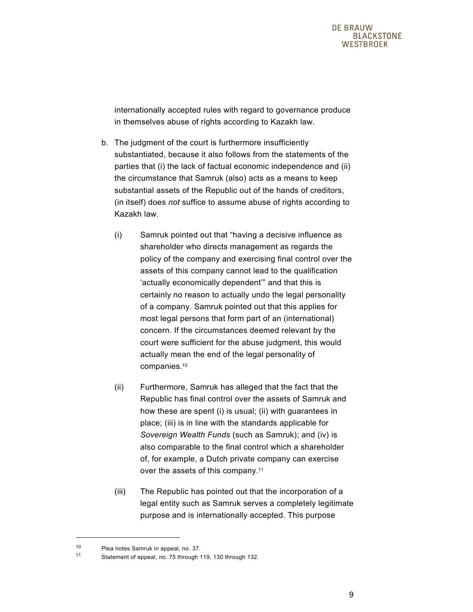internationally accepted rules with regard to governance produce in themselves abuse of rights according to Kazakh law.

- b. The judgment of the court is furthermore insufficiently substantiated, because it also follows from the statements of the parties that (i) the lack of factual economic independence and (ii) the circumstance that Samruk (also) acts as a means to keep substantial assets of the Republic out of the hands of creditors, (in itself) does *not* suffice to assume abuse of rights according to Kazakh law.
	- (i) Samruk pointed out that "having a decisive influence as shareholder who directs management as regards the policy of the company and exercising final control over the assets of this company cannot lead to the qualification 'actually economically dependent'" and that this is certainly no reason to actually undo the legal personality of a company. Samruk pointed out that this applies for most legal persons that form part of an (international) concern. If the circumstances deemed relevant by the court were sufficient for the abuse judgment, this would actually mean the end of the legal personality of companies.10
	- (ii) Furthermore, Samruk has alleged that the fact that the Republic has final control over the assets of Samruk and how these are spent (i) is usual; (ii) with guarantees in place; (iii) is in line with the standards applicable for *Sovereign Wealth Funds* (such as Samruk); and (iv) is also comparable to the final control which a shareholder of, for example, a Dutch private company can exercise over the assets of this company.11
	- (iii) The Republic has pointed out that the incorporation of a legal entity such as Samruk serves a completely legitimate purpose and is internationally accepted. This purpose

<sup>10</sup> Plea notes Samruk in appeal, no. 37.

<sup>11</sup> Statement of appeal, no. 75 through 119, 130 through 132.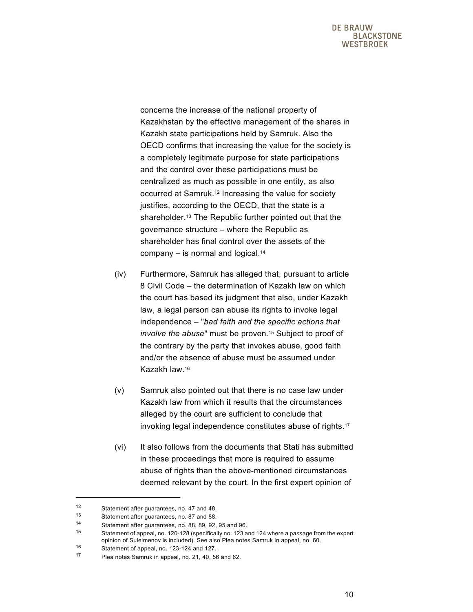concerns the increase of the national property of Kazakhstan by the effective management of the shares in Kazakh state participations held by Samruk. Also the OECD confirms that increasing the value for the society is a completely legitimate purpose for state participations and the control over these participations must be centralized as much as possible in one entity, as also occurred at Samruk.12 Increasing the value for society justifies, according to the OECD, that the state is a shareholder.13 The Republic further pointed out that the governance structure – where the Republic as shareholder has final control over the assets of the company  $-$  is normal and logical.<sup>14</sup>

- (iv) Furthermore, Samruk has alleged that, pursuant to article 8 Civil Code – the determination of Kazakh law on which the court has based its judgment that also, under Kazakh law, a legal person can abuse its rights to invoke legal independence – "*bad faith and the specific actions that involve the abuse*" must be proven.15 Subject to proof of the contrary by the party that invokes abuse, good faith and/or the absence of abuse must be assumed under Kazakh law.16
- (v) Samruk also pointed out that there is no case law under Kazakh law from which it results that the circumstances alleged by the court are sufficient to conclude that invoking legal independence constitutes abuse of rights.17
- (vi) It also follows from the documents that Stati has submitted in these proceedings that more is required to assume abuse of rights than the above-mentioned circumstances deemed relevant by the court. In the first expert opinion of

<sup>12</sup> Statement after guarantees, no. 47 and 48.<br>13 Statement after guarantees, no. 97 and 99.

Statement after guarantees, no. 87 and 88.

<sup>14</sup> Statement after guarantees, no. 88, 89, 92, 95 and 96.

<sup>15</sup> Statement of appeal, no. 120-128 (specifically no. 123 and 124 where a passage from the expert opinion of Suleimenov is included). See also Plea notes Samruk in appeal, no. 60.

<sup>16</sup> Statement of appeal, no. 123-124 and 127.

<sup>17</sup> Plea notes Samruk in appeal, no. 21, 40, 56 and 62.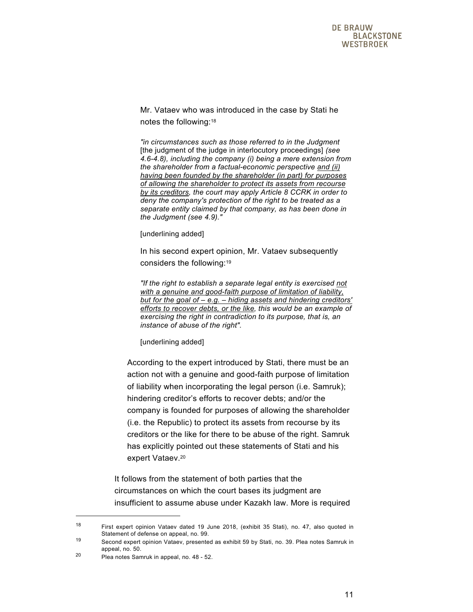Mr. Vataev who was introduced in the case by Stati he notes the following:18

*"in circumstances such as those referred to in the Judgment*  [the judgment of the judge in interlocutory proceedings] *(see 4.6-4.8), including the company (i) being a mere extension from the shareholder from a factual-economic perspective and (ii) having been founded by the shareholder (in part) for purposes of allowing the shareholder to protect its assets from recourse by its creditors, the court may apply Article 8 CCRK in order to deny the company's protection of the right to be treated as a separate entity claimed by that company, as has been done in the Judgment (see 4.9)."* 

[underlining added]

In his second expert opinion, Mr. Vataev subsequently considers the following:19

*"If the right to establish a separate legal entity is exercised not with a genuine and good-faith purpose of limitation of liability, but for the goal of – e.g. – hiding assets and hindering creditors' efforts to recover debts, or the like, this would be an example of exercising the right in contradiction to its purpose, that is, an instance of abuse of the right".* 

[underlining added]

According to the expert introduced by Stati, there must be an action not with a genuine and good-faith purpose of limitation of liability when incorporating the legal person (i.e. Samruk); hindering creditor's efforts to recover debts; and/or the company is founded for purposes of allowing the shareholder (i.e. the Republic) to protect its assets from recourse by its creditors or the like for there to be abuse of the right. Samruk has explicitly pointed out these statements of Stati and his expert Vataev.<sup>20</sup>

It follows from the statement of both parties that the circumstances on which the court bases its judgment are insufficient to assume abuse under Kazakh law. More is required

<sup>18</sup> First expert opinion Vataev dated 19 June 2018, (exhibit 35 Stati), no. 47, also quoted in Statement of defense on appeal, no. 99.

<sup>19</sup> Second expert opinion Vataev, presented as exhibit 59 by Stati, no. 39. Plea notes Samruk in appeal, no. 50.

<sup>20</sup> Plea notes Samruk in appeal, no. 48 - 52.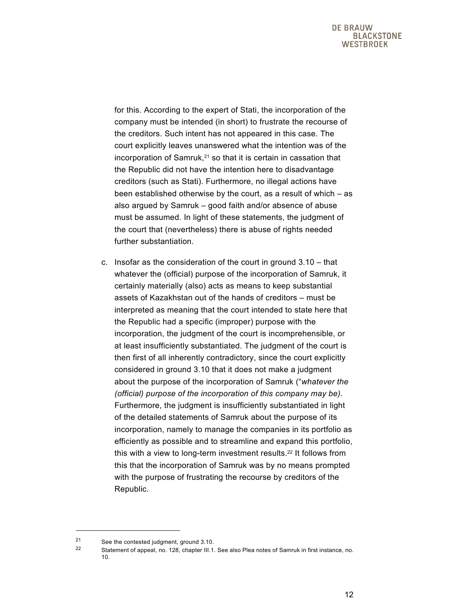for this. According to the expert of Stati, the incorporation of the company must be intended (in short) to frustrate the recourse of the creditors. Such intent has not appeared in this case. The court explicitly leaves unanswered what the intention was of the incorporation of Samruk,<sup>21</sup> so that it is certain in cassation that the Republic did not have the intention here to disadvantage creditors (such as Stati). Furthermore, no illegal actions have been established otherwise by the court, as a result of which – as also argued by Samruk – good faith and/or absence of abuse must be assumed. In light of these statements, the judgment of the court that (nevertheless) there is abuse of rights needed further substantiation.

c. Insofar as the consideration of the court in ground 3.10 – that whatever the (official) purpose of the incorporation of Samruk, it certainly materially (also) acts as means to keep substantial assets of Kazakhstan out of the hands of creditors – must be interpreted as meaning that the court intended to state here that the Republic had a specific (improper) purpose with the incorporation, the judgment of the court is incomprehensible, or at least insufficiently substantiated. The judgment of the court is then first of all inherently contradictory, since the court explicitly considered in ground 3.10 that it does not make a judgment about the purpose of the incorporation of Samruk ("*whatever the (official) purpose of the incorporation of this company may be).* Furthermore, the judgment is insufficiently substantiated in light of the detailed statements of Samruk about the purpose of its incorporation, namely to manage the companies in its portfolio as efficiently as possible and to streamline and expand this portfolio, this with a view to long-term investment results.<sup>22</sup> It follows from this that the incorporation of Samruk was by no means prompted with the purpose of frustrating the recourse by creditors of the Republic.

<sup>&</sup>lt;sup>21</sup> See the contested judgment, ground  $3.10$ .<br><sup>22</sup> Statement of appeal, po. 128, abontor III.1.

Statement of appeal, no. 128, chapter III.1. See also Plea notes of Samruk in first instance, no. 10.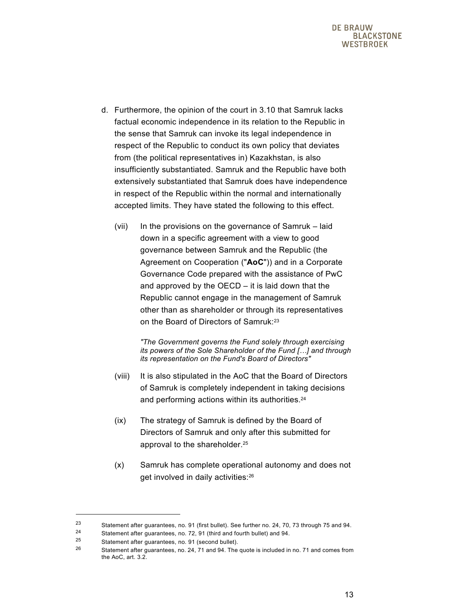- d. Furthermore, the opinion of the court in 3.10 that Samruk lacks factual economic independence in its relation to the Republic in the sense that Samruk can invoke its legal independence in respect of the Republic to conduct its own policy that deviates from (the political representatives in) Kazakhstan, is also insufficiently substantiated. Samruk and the Republic have both extensively substantiated that Samruk does have independence in respect of the Republic within the normal and internationally accepted limits. They have stated the following to this effect.
	- (vii) In the provisions on the governance of Samruk laid down in a specific agreement with a view to good governance between Samruk and the Republic (the Agreement on Cooperation ("**AoC**")) and in a Corporate Governance Code prepared with the assistance of PwC and approved by the OECD – it is laid down that the Republic cannot engage in the management of Samruk other than as shareholder or through its representatives on the Board of Directors of Samruk:23

*"The Government governs the Fund solely through exercising its powers of the Sole Shareholder of the Fund […] and through its representation on the Fund's Board of Directors"* 

- (viii) It is also stipulated in the AoC that the Board of Directors of Samruk is completely independent in taking decisions and performing actions within its authorities.24
- (ix) The strategy of Samruk is defined by the Board of Directors of Samruk and only after this submitted for approval to the shareholder.25
- (x) Samruk has complete operational autonomy and does not get involved in daily activities:26

l

<sup>23</sup> Statement after guarantees, no. 91 (first bullet). See further no. 24, 70, 73 through 75 and 94.

Statement after guarantees, no. 72, 91 (third and fourth bullet) and 94.

<sup>25</sup> Statement after guarantees, no. 91 (second bullet).<br>26 Statement after guarantees, no. 24, 71 and 04. The

<sup>26</sup> Statement after guarantees, no. 24, 71 and 94. The quote is included in no. 71 and comes from the AoC, art. 3.2.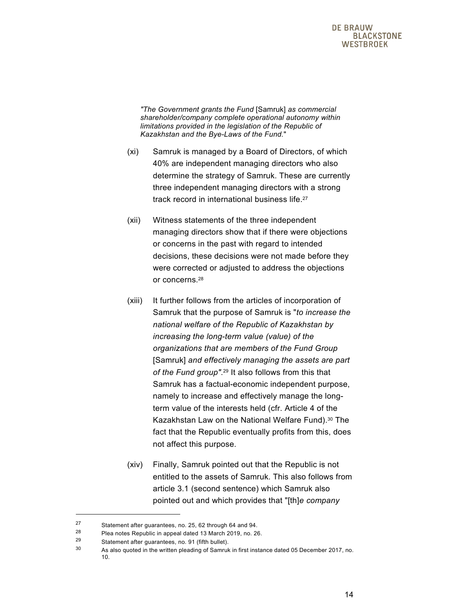*"The Government grants the Fund* [Samruk] *as commercial shareholder/company complete operational autonomy within limitations provided in the legislation of the Republic of Kazakhstan and the Bye-Laws of the Fund.*"

- (xi) Samruk is managed by a Board of Directors, of which 40% are independent managing directors who also determine the strategy of Samruk. These are currently three independent managing directors with a strong track record in international business life.27
- (xii) Witness statements of the three independent managing directors show that if there were objections or concerns in the past with regard to intended decisions, these decisions were not made before they were corrected or adjusted to address the objections or concerns.28
- (xiii) It further follows from the articles of incorporation of Samruk that the purpose of Samruk is "*to increase the national welfare of the Republic of Kazakhstan by increasing the long-term value (value) of the organizations that are members of the Fund Group* [Samruk] *and effectively managing the assets are part of the Fund group"*.29 It also follows from this that Samruk has a factual-economic independent purpose, namely to increase and effectively manage the longterm value of the interests held (cfr. Article 4 of the Kazakhstan Law on the National Welfare Fund).<sup>30</sup> The fact that the Republic eventually profits from this, does not affect this purpose.
- (xiv) Finally, Samruk pointed out that the Republic is not entitled to the assets of Samruk. This also follows from article 3.1 (second sentence) which Samruk also pointed out and which provides that "[th]*e company*

l

<sup>27</sup> Statement after guarantees, no. 25, 62 through 64 and 94.

<sup>28</sup> Plea notes Republic in appeal dated 13 March 2019, no. 26.

<sup>29</sup> Statement after guarantees, no. 91 (fifth bullet).<br> $29$  Ag also guated in the unit on planeling of Semanth

As also quoted in the written pleading of Samruk in first instance dated 05 December 2017, no. 10.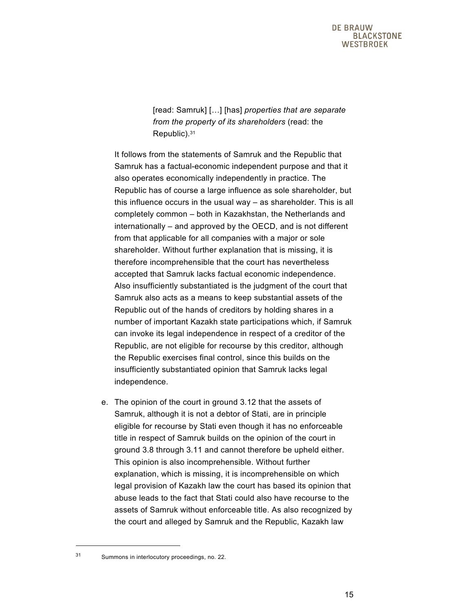[read: Samruk] […] [has] *properties that are separate from the property of its shareholders* (read: the Republic).31

It follows from the statements of Samruk and the Republic that Samruk has a factual-economic independent purpose and that it also operates economically independently in practice. The Republic has of course a large influence as sole shareholder, but this influence occurs in the usual way – as shareholder. This is all completely common – both in Kazakhstan, the Netherlands and internationally – and approved by the OECD, and is not different from that applicable for all companies with a major or sole shareholder. Without further explanation that is missing, it is therefore incomprehensible that the court has nevertheless accepted that Samruk lacks factual economic independence. Also insufficiently substantiated is the judgment of the court that Samruk also acts as a means to keep substantial assets of the Republic out of the hands of creditors by holding shares in a number of important Kazakh state participations which, if Samruk can invoke its legal independence in respect of a creditor of the Republic, are not eligible for recourse by this creditor, although the Republic exercises final control, since this builds on the insufficiently substantiated opinion that Samruk lacks legal independence.

e. The opinion of the court in ground 3.12 that the assets of Samruk, although it is not a debtor of Stati, are in principle eligible for recourse by Stati even though it has no enforceable title in respect of Samruk builds on the opinion of the court in ground 3.8 through 3.11 and cannot therefore be upheld either. This opinion is also incomprehensible. Without further explanation, which is missing, it is incomprehensible on which legal provision of Kazakh law the court has based its opinion that abuse leads to the fact that Stati could also have recourse to the assets of Samruk without enforceable title. As also recognized by the court and alleged by Samruk and the Republic, Kazakh law

<sup>31</sup> Summons in interlocutory proceedings, no. 22.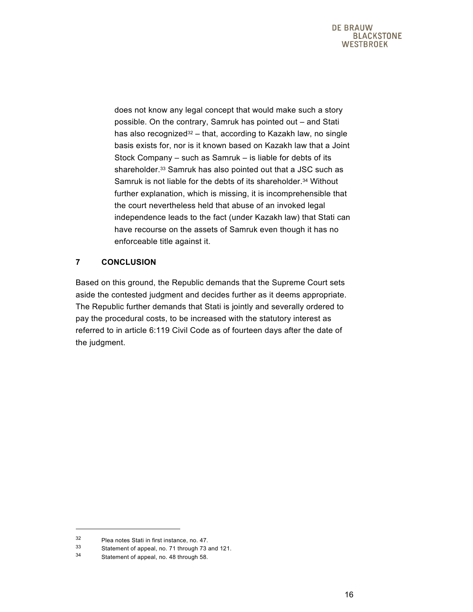does not know any legal concept that would make such a story possible. On the contrary, Samruk has pointed out – and Stati has also recognized<sup>32</sup> – that, according to Kazakh law, no single basis exists for, nor is it known based on Kazakh law that a Joint Stock Company – such as Samruk – is liable for debts of its shareholder.<sup>33</sup> Samruk has also pointed out that a JSC such as Samruk is not liable for the debts of its shareholder.<sup>34</sup> Without further explanation, which is missing, it is incomprehensible that the court nevertheless held that abuse of an invoked legal independence leads to the fact (under Kazakh law) that Stati can have recourse on the assets of Samruk even though it has no enforceable title against it.

# **7 CONCLUSION**

Based on this ground, the Republic demands that the Supreme Court sets aside the contested judgment and decides further as it deems appropriate. The Republic further demands that Stati is jointly and severally ordered to pay the procedural costs, to be increased with the statutory interest as referred to in article 6:119 Civil Code as of fourteen days after the date of the judgment.

l

 $32$  Plea notes Stati in first instance, no. 47.<br> $33$  Statement of anneal no. 71 through 73.

Statement of appeal, no. 71 through 73 and 121.

<sup>34</sup> Statement of appeal, no. 48 through 58.